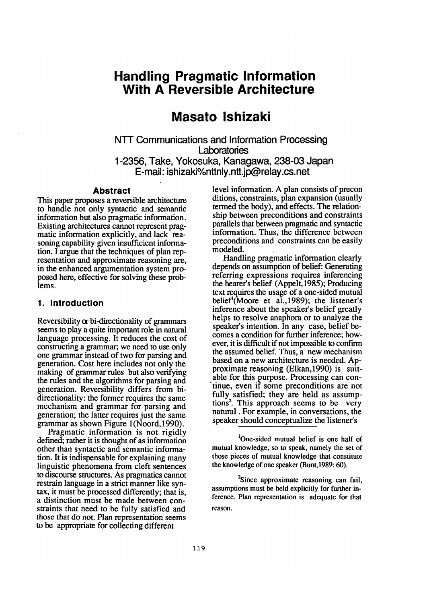# **Handling Pragmatic Information With A Reversible Architecture**

# **Masato Ishizaki**

**NTT Communications and Information Processing Laboratones 1-2356, Take, Yokosuka, Kanagawa, 238-03 Japan E-mail: ishizaki%nttnly.ntt.jp@relay.cs.net** 

#### **Abstract**

This paper proposes a reversible architecture to handle not orily syntactic and semantic information but also pragmatic information. Existing architectures cannot represent pragmatic information explicitly, and lack reasoning capability;given insufficient information. I argue that the techniques of plan representation and approximate reasoning are, in the enhanced argumentation system proposed here, effective for solving these problems.

### **1. Introduction**

Reversibility or bi-directionality of grammars seems to play a quite important role in natural language processing. It reduces the cost of constructing a grammar; we need to use only one grammar instead of two for parsing and generation. Cost here includes not only the making of grammar rules but also verifying the rules and the algorithms for parsing and generation. Reversibility differs from bidirectionality: the former requires the same mechanism and 'grammar for parsing and generation; the latter requires just the same grammar as shown Figure l(Noord, 1990).

Pragmatic information is not rigidly defined; rather it is thought of as information other than syntactic and semantic information. It is indispensable for explaining many linguistic phenomena from cleft sentences to discourse structures. As pragmatics cannot restrain language in a strict manner like syntax, it must be processed differently; that is, a distinction must be made between constraints that need to be fully satisfied and those that do not.'Plan representation seems to be appropriate for collecting different

level information. A plan consists of precon ditions, constraints, plan expansion (usually termed the body), and effects. The relationship between preconditions and constraints parallels that between pragmatic and syntactic information. Thus, the difference between preconditions and constraints can be easily modeled.

Handling pragmatic information clearly depends on assumption of belief: Generating referring expressions requires inferencing the hearer's belief (Appelt, 1985); Producing text requires the usage of a one-sided mutual belief<sup>1</sup>(Moore et al., 1989); the listener's inference about the speaker's belief greatly helps to resolve anaphora or to analyze the speaker's intention. In any case, belief becomes a condition for further inference; however, it is difficult if not impossible to confirm the assumed belief. Thus, a new mechanism based on a new architecture is needed. Approximate reasoning (Elkan, 1990) is suitable for this purpose. Processing can con tinue, even if some preconditions are not fully satisfied; they are held as assumptions<sup>2</sup>. This approach seems to be very natural. For example, in conversations, the speaker should conceptualize the listener's

<sup>1</sup>One-sided mutual belief is one half of mutual knowledge, so to speak, namely the set of those pieces of mutual knowledge that constitute the knowledge of one speaker (Bunt, 1989: 60).

<sup>2</sup>Since approximate reasoning can fail, assumptions must be held explicitly for further inference. Plan representation is adequate for that reason.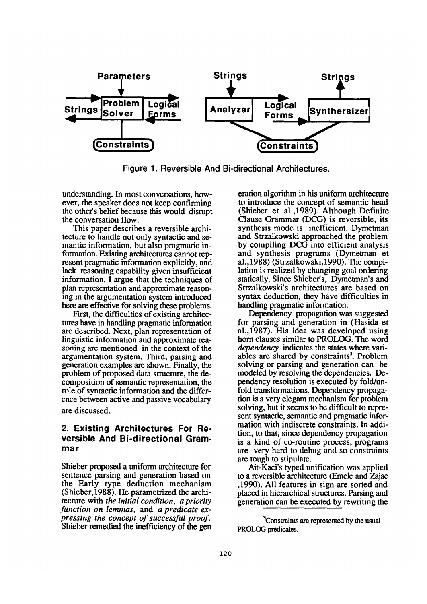

Figure 1. Reversible And Bi-directional Architectures.

understanding. In most conversations, however, the speaker does not keep confirming the other's belief because this would disrupt the conversation flow.

This paper describes a reversible architecture to handle not only syntactic and semantic information, but also pragmatic information. Existing architectures cannot represent pragmatic information explicitly, and lack reasoning capability given insufficient information. I argue that the techniques of plan representation and approximate reasoning in the argumentation system introduced here are effective for solving these problems.

First, the difficulties of existing architectures have in handling pragmatic information are described. Next, plan representation of linguistic information and approximate reasoning are mentioned in the context of the argumentation system. Third, parsing and generation examples are shown. Finally, the problem of proposed data structure, the decomposition of semantic representation, the role of syntactic information and the difference between active and passive vocabulary are discussed.

## **2. Existing Architectures For Reversible And Bi-directional Grammar**

Shieber proposed a uniform architecture for sentence parsing and generation based on the Early type deduction mechanism (Shieber,1988). He parametrized the architecture with *the initial condition, a priority function on lemmas,* and *a predicate expressing the concept of successful proof.*  Shieber remedied the inefficiency of the gen eration algorithm in his uniform architecture to introduce the concept of semantic head (Shieber et a1.,1989). Although Definite Clause Grammar (DCG) is reversible, its synthesis mode is inefficient. Dymetman and Strzalkowski approached the problem by compiling DCG into efficient analysis and synthesis programs (Dymetman et a1.,1988) (Strzalkowski,1990). The compilation is realized by changing goal ordering statically. Since Shieber's, Dymetman's and Strzalkowski's architectures are based on syntax deduction, they have difficulties in handling pragmatic information.

Dependency propagation was suggested for parsing and generation in (Hasida et a1.,1987). His idea was developed using horn clauses similar to PROLOG. The word *dependency* indicates the states where variables are shared by constraints<sup>3</sup>. Problem solving or parsing and generation can be modeled by resolving the dependencies. Dependency resolution is executed by fold/unfold transformations. Dependency propagation is a very elegant mechanism for problem solving, but it seems to be difficult to represent syntactic, semantic and pragmatic information with indiscrete constraints. In addition, to that, since dependency propagation is a kind of co-routine process, programs are very hard to debug and so constraints are tough to stipulate.

Ait-Kaci's typed unification was applied to a reversible architecture (Emele and Zajac ,1990). All features in sign are sorted and placed in hierarchical structures. Parsing and generation can be executed by rewriting the

<sup>3</sup>Constraints are represented by the usual PROLOG predicates.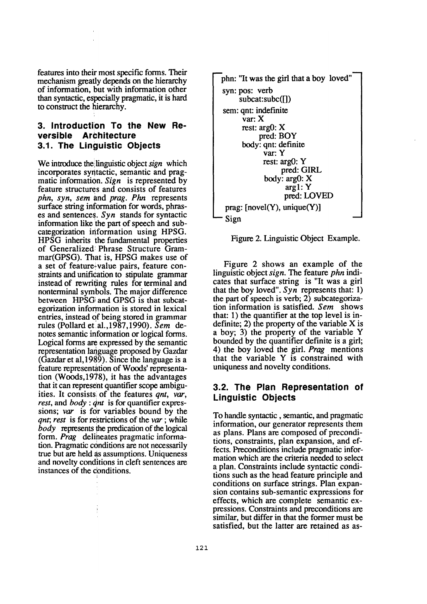features into their most specific forms. Their mechanism greatly depends on the hierarchy of information, but with information other than syntactic, especially pragmatic, it is hard to construct the hierarchy.

## **3. Introduction To the New Reversible Architecture 3.1. The Linguistic Objects**

We introduce the!linguistic object *sign* which incorporates syntactic, semantic and pragmatic information. *Sign* is represented by feature structures and consists of features *phn, syn, sem* and *prag. Phn* represents surface string information for words, phrases and sentences. *Syn* stands for syntactic information like the part of speech and subcategorization information using HPSG. HPSG inherits the fundamental properties of Generalized: Phrase Structure Grammar(GPSG). That is, HPSG makes use of a set of feature+value pairs, feature constraints and unification to stipulate grammar instead of rewriting rules for terminal and nonterminal symbols. The major difference between HPSGi and GPSG is that subcategorization information is stored in lexical entries, instead of being stored in grammar rules (Pollard et a1.,1987,1990). *Sere* denotes semantic information or logical forms. Logical forms are expressed by the semantic representation language proposed by Gazdar (Gazdar et a1,1989). Since the language is a feature representation of Woods' representation (Woods,1978), it has the advantages that it can represent quantifier scope ambiguities. It consistsi of the features *qnt, var, rest, and body : qnt* is for quantifier expressions; var is for variables bound by the *gnt; rest* is for restrictions of the *var*; while *body* represents the predication of the logical form. *Prag* delineates pragmatic information. Pragmatic conditions are not necessarily true but are held as assumptions. Uniqueness and novelty conditions in cleft sentences are instances of the conditions.



Figure 2. Linguistic Object Example.

Figure 2 shows an example of the linguistic object *sign. The* feature *phn* indicates that surface string is "It was a girl that the boy loved". *Syn* represents that: 1) the part of speech is verb; 2) subcategorization information is satisfied. *Sem* shows that: 1) the quantifier at the top level is indefinite; 2) the property of the variable X is a boy; 3) the property of the variable Y bounded by the quantifier definite is a girl; 4) the boy loved the girl. *Prag* mentions that the variable Y is constrained with uniquness and novelty conditions.

## **3.2. The Plan Representation of Linguistic Objects**

To handle syntactic, semantic, and pragmatic information, our generator represents them as plans. Plans are composed of preconditions, constraints, plan expansion, and effects. Preconditions include pragmatic information which are the criteria needed to select a plan. Constraints include syntactic conditions such as the head feature principle and conditions on surface strings. Plan expansion contains sub-semantic expressions for effects, which are complete semantic expressions. Constraints and preconditions are similar, but differ in that the former must be satisfied, but the latter are retained as as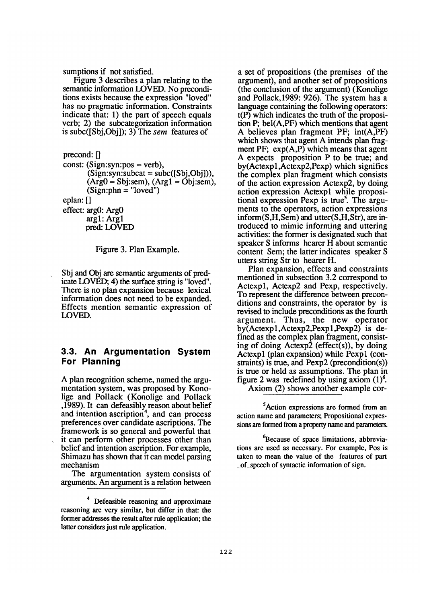sumptions if not satisfied.

Figure 3 describes a plan relating to the semantic information LOVED. No preconditions exists because the expression "loved" has no pragmatic information. Constraints indicate that: 1) the part of speech equals verb; 2) the subcategorization information is subc([Sbj,Obj]); 3) The *sem* features of

precond: [] const: (Sign:syn:pos = verb),  $(Sign:syn:subset = subc([Sbi,Obj]),$  $(Arg0 = Sbi:sem)$ ,  $(Arg1 = Obi:sem)$ ,  $(Sign:phn = "loved")$ eplan: [] effect: argO: ArgO

argl: Argl

pred: LOVED



Sbj and Obj are semantic arguments of predicate LOVED; 4) the surface string is "loved". There is no plan expansion because lexical information does not need to be expanded. Effects mention semantic expression of LOVED.

### **3.3. An Argumentation System For Planning**

A plan recognition scheme, named the argumentation system, was proposed by Konolige and Pollack (Konolige and Pollack ,1989). It can defeasibly reason about belief and intention ascription<sup>4</sup>, and can process preferences over candidate ascriptions. The framework is so general and powerful that it can perform other processes other than belief and intention ascription. For example, Shimazu has shown that it can model parsing mechanism

The argumentation system consists of arguments. An argument is a relation between

a set of propositions (the premises of the argument), and another set of propositions (the conclusion of the argument) (Konolige and Pollack,1989: 926). The system has a language containing the following operators: t(P) which indicates the truth of the proposition P; beI(A,PF) which mentions that agent A believes plan fragment PF; int(A,PF) which shows that agent A intends plan fragment PF;  $exp(A, P)$  which means that agent A expects proposition P to be true; and by(Actexpl,Actexp2,Pexp) which signifies the complex plan fragment which consists of the action expression Actexp2, by doing action expression Actexpl while propositional expression Pexp is true<sup>5</sup>. The arguments to the operators, action expressions inform(S,H,Sem) and utter(S,H,Str), are introduced to mimic informing and uttering activities: the former is designated such that speaker S informs hearer H about semantic content Sem; the latter indicates speaker S utters string Str to hearer H.

Plan expansion, effects and constraints mentioned in subsection 3.2 correspond to Actexpl, Actexp2 and Pexp, respectively. To represent the difference between preconditions and constraints, the operator by is revised to include preconditions as the fourth argument. Thus, the new operator by(Actexp1,Actexp2,Pexp1,Pexp2) is defined as the complex plan fragment, consisting of doing Actexp2 (effect(s)), by doing Actexpl (plan expansion) while Pexpl (constraints) is true, and Pexp2 (precondition(s)) is true or held as assumptions. The plan in figure 2 was redefined by using axiom  $(1)^6$ . Axiom (2) shows another example cor-

<sup>5</sup>Action expressions are formed from an action name and parameters; Propositional expressions are formed from a property name and parameters.

<sup>6</sup>Because of space limitations, abbreviations are used as necessary. For example, Pos is taken to mean the value of the features of part of speech of syntactic information of sign.

<sup>4</sup> Defeasible reasoning and approximate reasoning are very similar, but differ in that: the former addresses the result after rule application; the latter considers just rule application.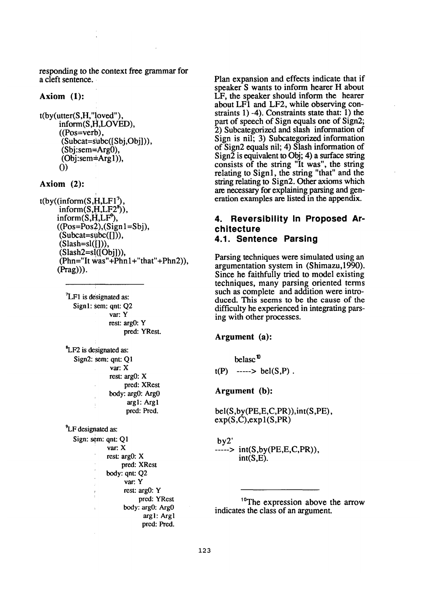responding to the context free grammar for a cleft sentence.

#### **Axiom (1):**

```
t(by(utter(S,H,"loved"), 
 inform(S,H,LOVED), 
 ((Pos=verb), 
  (Subcat=subc([Sbj,Obj])), 
  (Sbj:sem=Arg0), 
  (Obi:sem = Arg1)),
 0)
```
#### **Axiom (2):**

```
t(by((inform(S,H,LF1<sup>7</sup>),inform(S,H,LF2<sup>8</sup>)),inform(S, H, LF^2),
 ((Pos=Pos2),(Sign1=Sbi))(Subcat = subc([))),(Slash=sl([1)),(Slash2=sl([Obj])),
  (Phn="It was "+Phn1+"that"+Phn2)),(Prag))).
```
 $^7$ LF1 is designated as: Sign1: sem: qnt: O2 var: Y rest: argO: Y pred: YRest.

LF2 is designated as:  $Sign2: sem: ant: O1$ var: X **rest:** argO: X pred: XRest body: argO: ArgO argl: Argl pred: Pred.

<sup>9</sup>LF designated as: Sign: sem: qnt: Q1 var: X rest: argO: X pred: XRest body: qnt: Q2 var: Y rest: argO: Y pred: YRest body: argO: ArgO argl: Argl pred: Pred.

Plan expansion and effects indicate that if speaker S wants to inform hearer H about LF, the speaker should inform the hearer about LF1 and LF2, while observing constraints 1) -4). Constraints state that: 1) the part of speech of Sign equals one of Sign2; 2) Subcategorized and slash information of Sign is nil; 3) Subcategorized information of Sign2 equals nil; 4) Slash information of Sign $\overline{2}$  is equivalent to Obj; 4) a surface string consists of the string "It was", the string relating to Signl, the string "that" and the string relating to Sign2. Other axioms which are necessary for explaining parsing and generation examples are listed in the appendix.

## **4. Reversibility In Proposed Architecture**

### **4.1. Sentence Parsing**

Parsing techniques were simulated using an argumentation system in (Shimazu,1990). Since he faithfully tried to model existing techniques, many parsing oriented terms such as complete and addition were introduced. This seems to be the cause of the difficulty he experienced in integrating parsing with other processes.

#### **Argument (a):**

belasc $<sup>0</sup>$ </sup>

 $t(P)$  -----> bel(S,P).

**Argument (b):** 

beI(S,by(PE,E,C,PR)),int(S,PE),  $exp(S,C)$ , $exp(1(S,PR))$ 

#### by2'

 $---> int(S, by (PE, E, C, PR)),$  $int(S,E)$ .

1°The expression above the arrow indicates the class of an argument.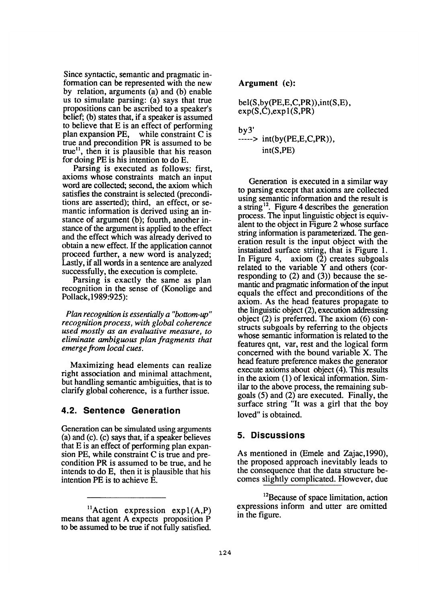Since syntactic, semantic and pragmatic information can be represented with the new by relation, arguments (a) and (b) enable us to simulate parsing: (a) says that true propositions can be ascribed to a speaker's belief; (b) states that, if a speaker is assumed to believe that E is an effect of performing<br>plan expansion PE, while constraint C is while constraint  $\overline{C}$  is true and precondition PR is assumed to be  $true<sup>11</sup>$ , then it is plausible that his reason for doing PE is his intention to do E.

Parsing is executed as follows: first, axioms whose constraints match an input word are collected; second, the axiom which satisfies the constraint is selected (preconditions are asserted); third, an effect, or semantic information is derived using an instance of argument (b); fourth, another instance of the argument is applied to the effect and the effect which was already derived to obtain a new effect. If the application cannot proceed further, a new word is analyzed; Lastly, if all words in a sentence are analyzed successfully, the execution is complete.

Parsing is exactly the same as plan recognition in the sense of (Konolige and Pollack, 1989:925):

*Plan recognition is essentially a "bottom-up" recognition process, with global coherence used mostly as an evaluative measure, to eliminate ambiguous plan fragments that emerge.from local cues.* 

Maximizing head elements can realize right association and minimal attachment, but handling semantic ambiguities, that is to clarify global coherence, is a further issue.

## **4.2. Sentence Generation**

Generation can be simulated using arguments (a) and (c). (c) says that, if a speaker believes that E is an effect of performing plan expansion PE, while constraint C is true and precondition PR is assumed to be true, and he intends to do E, then it is plausible that his intention PE is to achieve E.

### Argument (c):

$$
bel(S, by (PE, E, C, PR)), int(S, E), exp(S, C), exp1(S, PR)
$$

by3' *..... > int(by(PE,E,C,PR)),*  int(S,PE)

Generation is executed in a similar way to parsing except that axioms are collected using semantic information and the result is a string 12. Figure 4 describes the generation process. The input linguistic object is equivalent to the object in Figure 2 whose surface string information is parameterized. The generation result is the input object with the instafiated surface string, that is Figure 1. In Figure 4, axiom (2) creates subgoals related to the variable Y and others (corresponding to (2) and (3)) because the semantic and pragmatic information of the input equals the effect and preconditions of the axiom. As the head features propagate to the linguistic object (2), execution addressing object (2) is preferred. The axiom (6) constructs subgoals by referring to the objects whose semantic information is related to the features qnt, var, rest and the logical form concerned with the bound variable X. The head feature preference makes the generator execute axioms about object (4). This results in the axiom (1) of lexical information. Similar to the above process, the remaining subgoals (5) and (2) are executed. Finally, the surface string "It was a girl that the boy loved" is obtained.

## **5. Discussions**

As mentioned in (Emele and Zajac,1990), the proposed approach inevitably leads to the consequence that the data structure becomes slightly complicated. However, due

 ${}^{11}$ Action expression exp1(A,P) means that agent A expects proposition P to be assumed to be true if not fully satisfied.

<sup>&</sup>lt;sup>12</sup>Because of space limitation, action expressions inform and utter are omitted in the figure.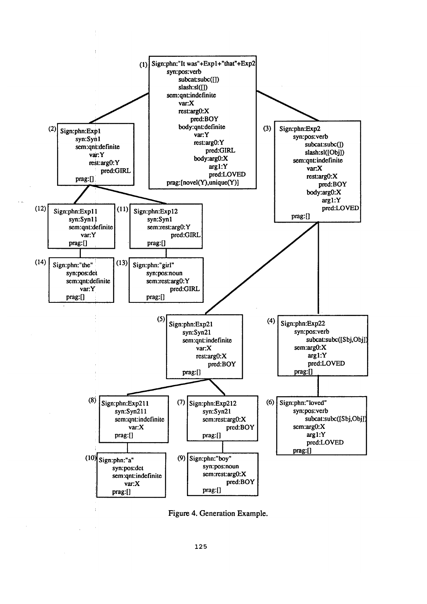

Figure 4. Generation Example.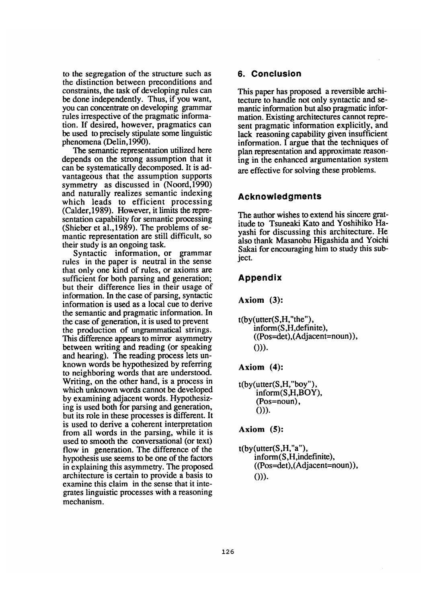to the segregation of the structure such as the distinction between preconditions and constraints, the task of developing rules can be done independently. Thus, if you want, you can concentrate on developing grammar rules irrespective of the pragmatic information. If desired, however, pragmatics can be used to precisely stipulate some linguistic phenomena (Delin, 1990).

The semantic representation utilized here depends on the strong assumption that it can be systematically decomposed. It is advantageous that the assumption supports symmetry as discussed in (Noord,1990) and naturally realizes semantic indexing which leads to efficient processing (Calder, 1989). However, it limits the representation capability for semantic processing (Shieber et a1.,1989). The problems of semantic representation are still difficult, so their study is an ongoing task.

Syntactic information, or grammar rules in the paper is neutral in the sense that only one kind of rules, or axioms are sufficient for both parsing and generation; but their difference lies in their usage of information. In the case of parsing, syntactic information is used as a local cue to derive the semantic and pragmatic information. In the case of generation, it is used to prevent the production of ungrammatical strings. This difference appears to mirror asymmetry between writing and reading (or speaking and hearing). The reading process lets unknown words be hypothesized by referring to neighboring words that are understood. Writing, on the other hand, is a process in which unknown words cannot be developed by examining adjacent words. Hypothesizing is used both for parsing and generation, but its role in these processes is different. It is used to derive a coherent interpretation from all words in the parsing, while it is used to smooth the conversational (or text) flow in generation. The difference of the hypothesis use seems to be one of the factors in explaining this asymmetry. The proposed architecture is certain to provide a basis to examine this claim in the sense that it integrates linguistic processes with a reasoning mechanism.

### **6. Conclusion**

This paper has proposed a reversible architecture to handle not only syntactic and semantic information but also pragmatic information. Existing architectures cannot represent pragmatic information explicitly, and lack reasoning capability given insufficient information. I argue that the techniques of plan representation and approximate reasoning in the enhanced argumentation system are effective for solving these problems.

## **Acknowledgments**

The author wishes to extend his sincere gratitude to Tsuneaki Kato and Yoshihiko Hayashi for discussing this architecture. He also thank Masanobu Higashida and Yoichi Sakai for encouraging him to study this subject.

## **Appendix**

**Axiom** (3):

t(by(utter(S,H,"the"), inform(S,H,definite), ((Pos=det),(Adjacent=noun)), 0)).

## **Axiom** (4):

t(by(utter(S,H,"boy"), inform(S,H,BOY), (Pos=noun), 0)).

## **Axiom (5):**

 $t(by(utter(S,H,"a"),$ in form (S,H,indefinite), ((Pos=det),(Adjacent=noun)), 0)).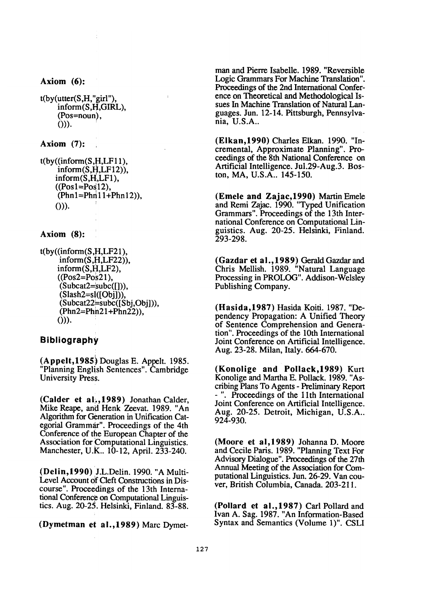**Axiom (6):** 

```
t(by(utter(S,H,"girl"), 
 inform(S,H,GIRL), 
 (Pos=noun), 
 0)).
```
**Axiom (7):** 

```
t(by((inform(S,H,LF11)),inform(S, H, LF12)).
inform(S,H,LF1), 
((Pos1=Pos12),(Phn1 = Phn11 + Phn12)).
0)).
```
### **Axiom (8):**

 $t(by((inform(S,H, LF21)),$ inform(S,H,LF22)), inform(S,H,LF2),  $((Pos2=Pos21))$ .  $(Subcat2=subc([))),$  $(Slash2=s1([Obj]))$ (Subcat22~subc([Sbj,Obj])), (Phn2=Phh21+Phn22)), 0)).

### **Bibliography**

(Appelt,1985i Douglas E. Appelt. 1985. "Planning English Sentences". Cambridge University Press.

(Calder et al., 1989) Jonathan Calder, Mike Reape, and Henk Zeevat. 1989. "An Algorithm for Generation in Unification Categorial Grammar". Proceedings of the 4th Conference of the European Chapter of the Association for Computational Linguistics. Manchester, U.K.. 10-12, April. 233-240.

(Delin,1990) J.L.Delin. 1990. "A Multi-Level Account 0f Cleft Constructions in Discourse". Proceedings of the 13th International Conference on Computational Linguistics. Aug. 20-25. Helsinki, Finland. 83-88.

(Dymetman et al., 1989) Marc Dymet-

man and Pierre Isabelle. 1989. "Reversible Logic Grammars For Machine Translation". Proceedings of the 2nd International Conference on Theoretical and Methodological Issues In Machine Translation of Natural Languages. Jun. 12-14. Pittsburgh, Pennsylvania, U.S.A..

(Elkan,1990) Charles Elkan. 1990. "Incremental, Approximate Planning". Proceedings of the 8th National Conference on Artificial Intelligence. Jul.29-Aug.3. Boston, MA, U.S.A.. 145-150.

(Emele and Zajac,1990) Martin Emele and Remi Zajac. 1990. "Typed Unification Grammars". Proceedings of the 13th International Conference on Computational Linguistics. Aug. 20-25. Helsinki, Finland. 293-298.

(Gazdar et al., 1989) Gerald Gazdar and Chris Mellish. 1989. "Natural Language Processing in PROLOG". Addison-Welsley Publishing Company.

**(Hasida,1987)** Hasida Koiti. 1987. "Dependency Propagation: A Unified Theory of Sentence Comprehension and Generation". Proceedings of the 10th International Joint Conference on Artificial Intelligence. Aug. 23-28. Milan, Italy. 664-670.

**(Konolige and Pollack, 1989)** Kurt Konolige and Martha E. Pollack. 1989. "Ascribing Plans To Agents - Preliminary Report **-** . Proceedings of the 11th International Joint Conference on Artificial Intelligence. Aug. 20-25. Detroit, Michigan, U.S.A.. 924-930.

(Moore et a1,1989) JohannaD. Moore and Cecile Paris. 1989. "Planning Text For Advisory Dialogue". Proceedings of the 27th Annual Meeting of the Association for Computational Linguistics. Jun. 26-29. Van couver, British Columbia, Canada. 203-211.

(Pollard et a1.,1987) Carl Pollard and Ivan A. Sag. 1987. "An Information-Based Syntax and Semantics (Volume 1)". CSLI